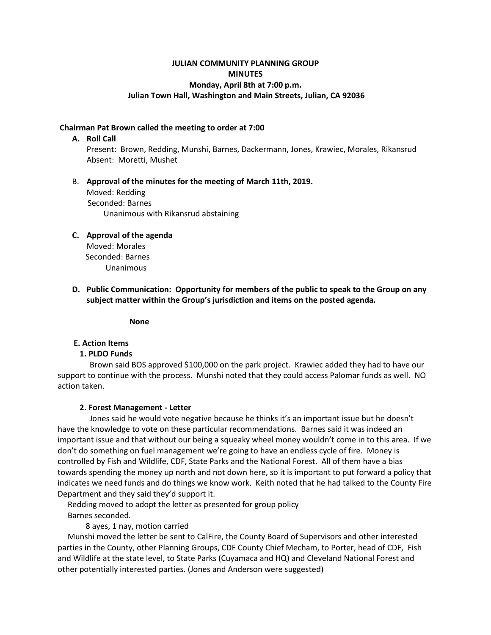# **JULIAN COMMUNITY PLANNING GROUP MINUTES Monday, April 8th at 7:00 p.m. Julian Town Hall, Washington and Main Streets, Julian, CA 92036**

## **Chairman Pat Brown called the meeting to order at 7:00**

#### **A. Roll Call**

Present: Brown, Redding, Munshi, Barnes, Dackermann, Jones, Krawiec, Morales, Rikansrud Absent: Moretti, Mushet

# B. **Approval of the minutes for the meeting of March 11th, 2019.**  Moved: Redding Seconded: Barnes Unanimous with Rikansrud abstaining

# **C. Approval of the agenda**  Moved: Morales

 Seconded: Barnes Unanimous

**D. Public Communication: Opportunity for members of the public to speak to the Group on any subject matter within the Group's jurisdiction and items on the posted agenda.** 

 **None**

# **E. Action Items**

# **1. PLDO Funds**

 Brown said BOS approved \$100,000 on the park project. Krawiec added they had to have our support to continue with the process. Munshi noted that they could access Palomar funds as well. NO action taken.

#### **2. Forest Management - Letter**

 Jones said he would vote negative because he thinks it's an important issue but he doesn't have the knowledge to vote on these particular recommendations. Barnes said it was indeed an important issue and that without our being a squeaky wheel money wouldn't come in to this area. If we don't do something on fuel management we're going to have an endless cycle of fire. Money is controlled by Fish and Wildlife, CDF, State Parks and the National Forest. All of them have a bias towards spending the money up north and not down here, so it is important to put forward a policy that indicates we need funds and do things we know work. Keith noted that he had talked to the County Fire Department and they said they'd support it.

 Redding moved to adopt the letter as presented for group policy Barnes seconded.

8 ayes, 1 nay, motion carried

 Munshi moved the letter be sent to CalFire, the County Board of Supervisors and other interested parties in the County, other Planning Groups, CDF County Chief Mecham, to Porter, head of CDF, Fish and Wildlife at the state level, to State Parks (Cuyamaca and HQ) and Cleveland National Forest and other potentially interested parties. (Jones and Anderson were suggested)